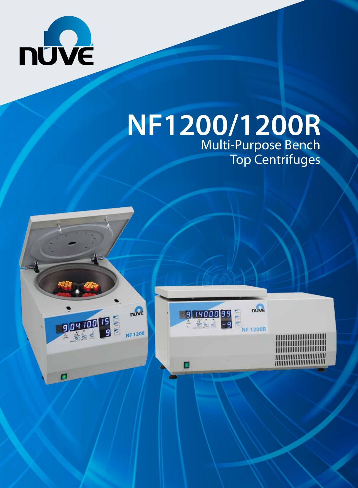

**BOY 100 15** 

# **NF1200/1200R** Multi-Purpose Bench Top Centrifuges



<u> HIHIHIHIHIHIHIIIIIIII</u> **TERRITORIAL DE L'ANNONCE DE L'ANNONCE DE L'ANNONCE DE L'ANNONCE DE L'ANNONCE DE L'ANNONCE DE L'ANNO** ,,,,,,,,,,,,,,,,,,,,,,,,,,,,,, ,,,,,,,,,,,,,,,,,,,,,,,,,,,,,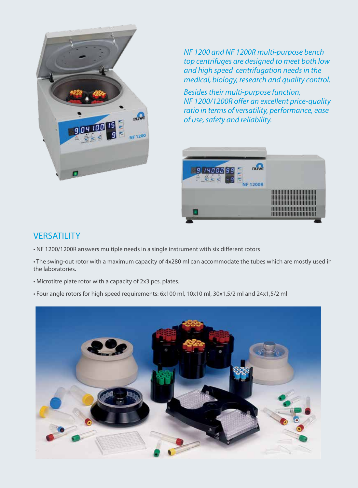

*NF 1200 and NF 1200R multi-purpose bench top centrifuges are designed to meet both low and high speed centrifugation needs in the medical, biology, research and quality control.*

*Besides their multi-purpose function, NF 1200/1200R offer an excellent price-quality ratio in terms of versatility, performance, ease of use, safety and reliability.*



### **VERSATILITY**

- NF 1200/1200R answers multiple needs in a single instrument with six different rotors
- The swing-out rotor with a maximum capacity of 4x280 ml can accommodate the tubes which are mostly used in the laboratories.
- Microtitre plate rotor with a capacity of 2x3 pcs. plates.
- Four angle rotors for high speed requirements: 6x100 ml, 10x10 ml, 30x1,5/2 ml and 24x1,5/2 ml

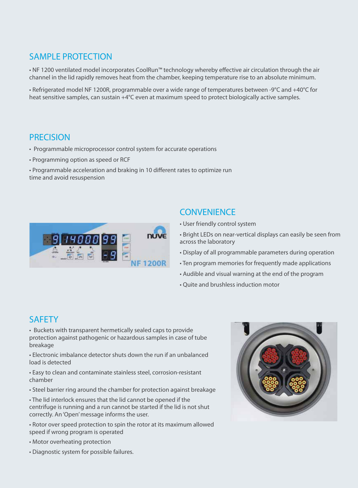## SAMPLE PROTECTION

• NF 1200 ventilated model incorporates CoolRun™ technology whereby effective air circulation through the air channel in the lid rapidly removes heat from the chamber, keeping temperature rise to an absolute minimum.

• Refrigerated model NF 1200R, programmable over a wide range of temperatures between -9°C and +40°C for heat sensitive samples, can sustain +4°C even at maximum speed to protect biologically active samples.

#### **PRECISION**

- Programmable microprocessor control system for accurate operations
- Programming option as speed or RCF
- Programmable acceleration and braking in 10 different rates to optimize run time and avoid resuspension



#### **CONVENIENCE**

- User friendly control system
- Bright LEDs on near-vertical displays can easily be seen from across the laboratory
- Display of all programmable parameters during operation
- Ten program memories for frequently made applications
- Audible and visual warning at the end of the program
- Quite and brushless induction motor

#### **SAFFTY**

• Buckets with transparent hermetically sealed caps to provide protection against pathogenic or hazardous samples in case of tube breakage

• Electronic imbalance detector shuts down the run if an unbalanced load is detected

• Easy to clean and contaminate stainless steel, corrosion-resistant chamber

• Steel barrier ring around the chamber for protection against breakage

• The lid interlock ensures that the lid cannot be opened if the centrifuge is running and a run cannot be started if the lid is not shut correctly. An 'Open' message informs the user.

• Rotor over speed protection to spin the rotor at its maximum allowed speed if wrong program is operated

• Motor overheating protection

• Diagnostic system for possible failures.